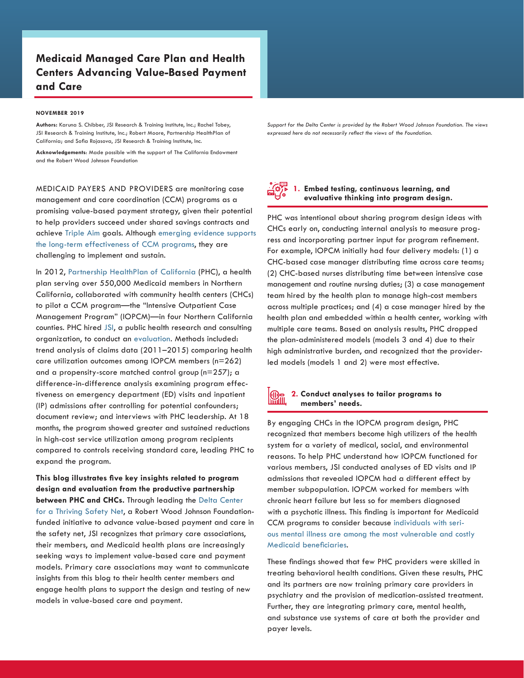# **Medicaid Managed Care Plan and Health Centers Advancing Value-Based Payment and Care**

#### **NOVEMBER 2019**

**Authors:** Karuna S. Chibber, JSI Research & Training Institute, Inc.; Rachel Tobey, JSI Research & Training Institute, Inc.; Robert Moore, Partnership HealthPlan of California; and Sofia Rojasova, JSI Research & Training Institute, Inc.

**Acknowledgements**: Made possible with the support of The California Endowment and the Robert Wood Johnson Foundation

MEDICAID PAYERS AND PROVIDERS are monitoring case management and care coordination (CCM) programs as a promising value-based payment strategy, given their potential to help providers succeed under shared savings contracts and achieve [Triple Aim](http://www.ihi.org/resources/Pages/Publications/TripleAimCareHealthandCost.aspx) goals. Although [emerging evidence supports](https://www.healthaffairs.org/doi/10.1377/hlthaff.2014.0855)  [the long-term effectiveness of CCM programs,](https://www.healthaffairs.org/doi/10.1377/hlthaff.2014.0855) they are challenging to implement and sustain.

In 2012, [Partnership HealthPlan of California](http://www.partnershiphp.org/Pages/PHC.aspx) ([PHC](http://www.partnershiphp.org/Pages/PHC.aspx)), a health plan serving over 550,000 Medicaid members in Northern California, collaborated with community health centers (CHCs) to pilot a CCM program—the "Intensive Outpatient Case Management Program" (IOPCM)—in four Northern California counties. PHC hired [JSI,](https://www.jsi.com/JSIInternet) a public health research and consulting organization, to conduct an [evaluation](https://www.jsi.com/JSIInternet/Resources/publication/display.cfm?txtGeoArea=US&id=22695&thisSection=Resources). Methods included: trend analysis of claims data (2011–2015) comparing health care utilization outcomes among IOPCM members (n=262) and a propensity-score matched control group (n=257); a difference-in-difference analysis examining program effectiveness on emergency department (ED) visits and inpatient (IP) admissions after controlling for potential confounders; document review; and interviews with PHC leadership. At 18 months, the program showed greater and sustained reductions in high-cost service utilization among program recipients compared to controls receiving standard care, leading PHC to expand the program.

**This blog illustrates five key insights related to program design and evaluation from the productive partnership between PHC and CHCs.** Through leading the [Delta Center](https://deltacenter.jsi.com/)  [for a Thriving Safety Net](https://deltacenter.jsi.com/), a Robert Wood Johnson Foundationfunded initiative to advance value-based payment and care in the safety net, JSI recognizes that primary care associations, their members, and Medicaid health plans are increasingly seeking ways to implement value-based care and payment models. Primary care associations may want to communicate insights from this blog to their health center members and engage health plans to support the design and testing of new models in value-based care and payment.

*Support for the Delta Center is provided by the Robert Wood Johnson Foundation. The views expressed here do not necessarily reflect the views of the Foundation.*



### **1. Embed testing, continuous learning, and evaluative thinking into program design.**

PHC was intentional about sharing program design ideas with CHCs early on, conducting internal analysis to measure progress and incorporating partner input for program refinement. For example, IOPCM initially had four delivery models: (1) a CHC-based case manager distributing time across care teams; (2) CHC-based nurses distributing time between intensive case management and routine nursing duties; (3) a case management team hired by the health plan to manage high-cost members across multiple practices; and (4) a case manager hired by the health plan and embedded within a health center, working with multiple care teams. Based on analysis results, PHC dropped the plan-administered models (models 3 and 4) due to their high administrative burden, and recognized that the providerled models (models 1 and 2) were most effective.

#### **2. Conduct analyses to tailor programs to I**Mi **members' needs.**

By engaging CHCs in the IOPCM program design, PHC recognized that members become high utilizers of the health system for a variety of medical, social, and environmental reasons. To help PHC understand how IOPCM functioned for various members, JSI conducted analyses of ED visits and IP admissions that revealed IOPCM had a different effect by member subpopulation. IOPCM worked for members with chronic heart failure but less so for members diagnosed with a psychotic illness. This finding is important for Medicaid CCM programs to consider because [individuals with seri](https://www.kff.org/medicaid/fact-sheet/facilitating-access-to-mental-health-services-a-look-at-medicaid-private-insurance-and-the-uninsured/)[ous mental illness are among the most vulnerable and costly](https://www.kff.org/medicaid/fact-sheet/facilitating-access-to-mental-health-services-a-look-at-medicaid-private-insurance-and-the-uninsured/)  [Medicaid beneficiaries](https://www.kff.org/medicaid/fact-sheet/facilitating-access-to-mental-health-services-a-look-at-medicaid-private-insurance-and-the-uninsured/).

These findings showed that few PHC providers were skilled in treating behavioral health conditions. Given these results, PHC and its partners are now training primary care providers in psychiatry and the provision of medication-assisted treatment. Further, they are integrating primary care, mental health, and substance use systems of care at both the provider and payer levels.